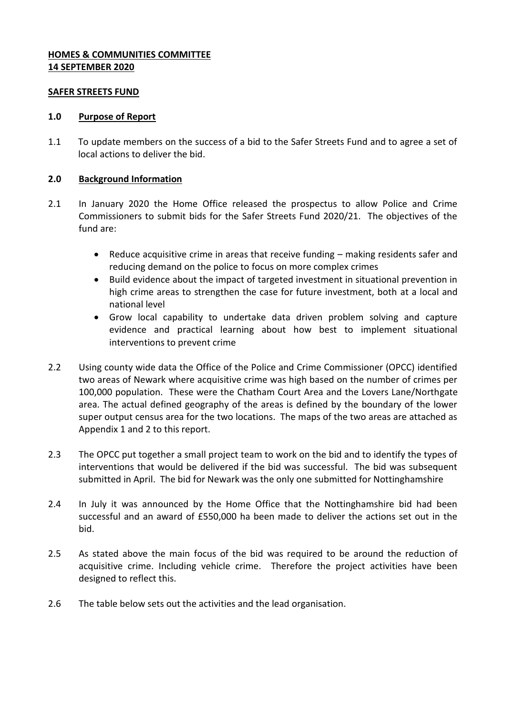### **HOMES & COMMUNITIES COMMITTEE 14 SEPTEMBER 2020**

#### **SAFER STREETS FUND**

#### **1.0 Purpose of Report**

1.1 To update members on the success of a bid to the Safer Streets Fund and to agree a set of local actions to deliver the bid.

### **2.0 Background Information**

- 2.1 In January 2020 the Home Office released the prospectus to allow Police and Crime Commissioners to submit bids for the Safer Streets Fund 2020/21. The objectives of the fund are:
	- Reduce acquisitive crime in areas that receive funding making residents safer and reducing demand on the police to focus on more complex crimes
	- Build evidence about the impact of targeted investment in situational prevention in high crime areas to strengthen the case for future investment, both at a local and national level
	- Grow local capability to undertake data driven problem solving and capture evidence and practical learning about how best to implement situational interventions to prevent crime
- 2.2 Using county wide data the Office of the Police and Crime Commissioner (OPCC) identified two areas of Newark where acquisitive crime was high based on the number of crimes per 100,000 population. These were the Chatham Court Area and the Lovers Lane/Northgate area. The actual defined geography of the areas is defined by the boundary of the lower super output census area for the two locations. The maps of the two areas are attached as Appendix 1 and 2 to this report.
- 2.3 The OPCC put together a small project team to work on the bid and to identify the types of interventions that would be delivered if the bid was successful. The bid was subsequent submitted in April. The bid for Newark was the only one submitted for Nottinghamshire
- 2.4 In July it was announced by the Home Office that the Nottinghamshire bid had been successful and an award of £550,000 ha been made to deliver the actions set out in the bid.
- 2.5 As stated above the main focus of the bid was required to be around the reduction of acquisitive crime. Including vehicle crime. Therefore the project activities have been designed to reflect this.
- 2.6 The table below sets out the activities and the lead organisation.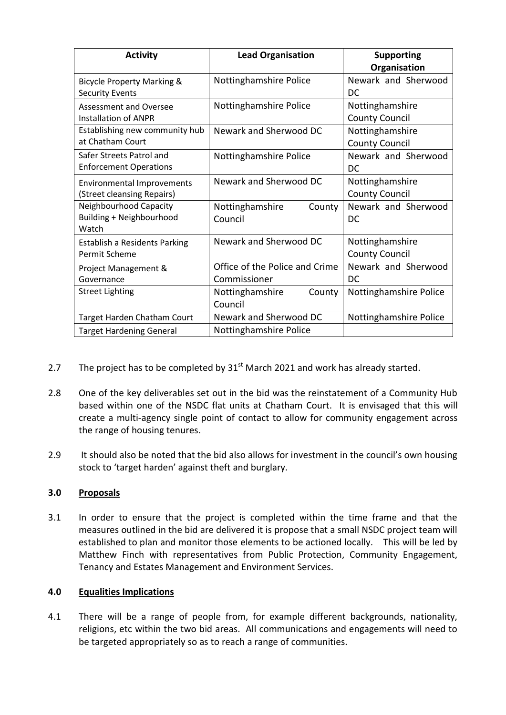| <b>Activity</b>                       | <b>Lead Organisation</b>       | <b>Supporting</b>      |
|---------------------------------------|--------------------------------|------------------------|
|                                       |                                | Organisation           |
| <b>Bicycle Property Marking &amp;</b> | Nottinghamshire Police         | Newark and Sherwood    |
| <b>Security Events</b>                |                                | DC                     |
| Assessment and Oversee                | Nottinghamshire Police         | Nottinghamshire        |
| <b>Installation of ANPR</b>           |                                | <b>County Council</b>  |
| Establishing new community hub        | Newark and Sherwood DC         | Nottinghamshire        |
| at Chatham Court                      |                                | <b>County Council</b>  |
| Safer Streets Patrol and              | Nottinghamshire Police         | Newark and Sherwood    |
| <b>Enforcement Operations</b>         |                                | DC                     |
| <b>Environmental Improvements</b>     | Newark and Sherwood DC         | Nottinghamshire        |
| (Street cleansing Repairs)            |                                | <b>County Council</b>  |
| Neighbourhood Capacity                | Nottinghamshire<br>County      | Newark and Sherwood    |
| Building + Neighbourhood              | Council                        | DC                     |
| Watch                                 |                                |                        |
| <b>Establish a Residents Parking</b>  | Newark and Sherwood DC         | Nottinghamshire        |
| Permit Scheme                         |                                | <b>County Council</b>  |
| Project Management &                  | Office of the Police and Crime | Newark and Sherwood    |
| Governance                            | Commissioner                   | DC                     |
| <b>Street Lighting</b>                | County<br>Nottinghamshire      | Nottinghamshire Police |
|                                       | Council                        |                        |
| Target Harden Chatham Court           | Newark and Sherwood DC         | Nottinghamshire Police |
| <b>Target Hardening General</b>       | Nottinghamshire Police         |                        |

- 2.7 The project has to be completed by  $31<sup>st</sup>$  March 2021 and work has already started.
- 2.8 One of the key deliverables set out in the bid was the reinstatement of a Community Hub based within one of the NSDC flat units at Chatham Court. It is envisaged that this will create a multi-agency single point of contact to allow for community engagement across the range of housing tenures.
- 2.9 It should also be noted that the bid also allows for investment in the council's own housing stock to 'target harden' against theft and burglary.

# **3.0 Proposals**

3.1 In order to ensure that the project is completed within the time frame and that the measures outlined in the bid are delivered it is propose that a small NSDC project team will established to plan and monitor those elements to be actioned locally. This will be led by Matthew Finch with representatives from Public Protection, Community Engagement, Tenancy and Estates Management and Environment Services.

# **4.0 Equalities Implications**

4.1 There will be a range of people from, for example different backgrounds, nationality, religions, etc within the two bid areas. All communications and engagements will need to be targeted appropriately so as to reach a range of communities.